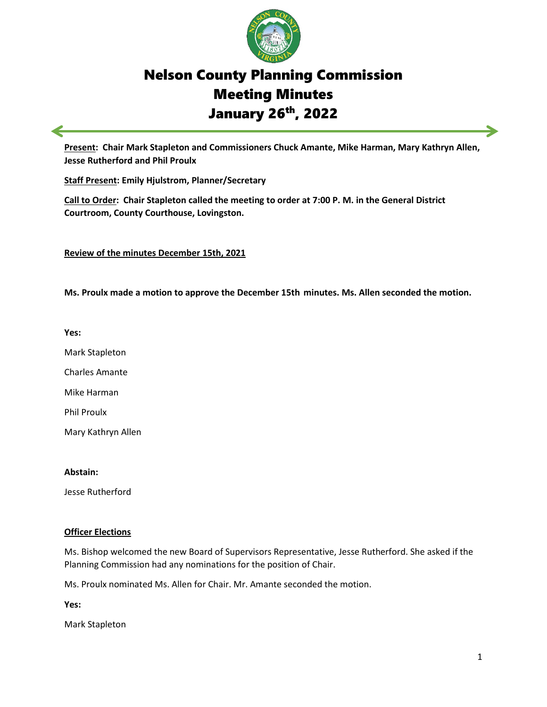

# Nelson County Planning Commission Meeting Minutes January 26th, 2022

**Present: Chair Mark Stapleton and Commissioners Chuck Amante, Mike Harman, Mary Kathryn Allen, Jesse Rutherford and Phil Proulx** 

**Staff Present: Emily Hjulstrom, Planner/Secretary**

**Call to Order: Chair Stapleton called the meeting to order at 7:00 P. M. in the General District Courtroom, County Courthouse, Lovingston.** 

**Review of the minutes December 15th, 2021**

**Ms. Proulx made a motion to approve the December 15th minutes. Ms. Allen seconded the motion.** 

**Yes:**

Mark Stapleton

Charles Amante

Mike Harman

Phil Proulx

Mary Kathryn Allen

#### **Abstain:**

Jesse Rutherford

## **Officer Elections**

Ms. Bishop welcomed the new Board of Supervisors Representative, Jesse Rutherford. She asked if the Planning Commission had any nominations for the position of Chair.

Ms. Proulx nominated Ms. Allen for Chair. Mr. Amante seconded the motion.

**Yes:**

Mark Stapleton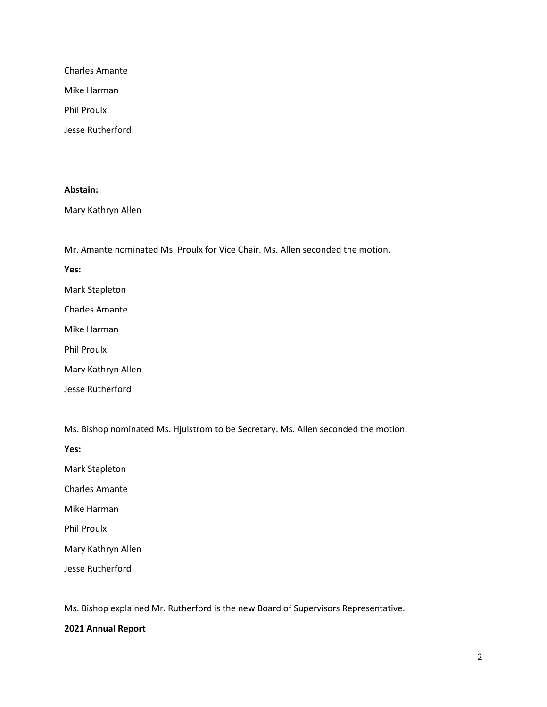Charles Amante

Mike Harman

Phil Proulx

Jesse Rutherford

#### **Abstain:**

Mary Kathryn Allen

Mr. Amante nominated Ms. Proulx for Vice Chair. Ms. Allen seconded the motion.

**Yes:**

Mark Stapleton

Charles Amante

Mike Harman

Phil Proulx

Mary Kathryn Allen

Jesse Rutherford

Ms. Bishop nominated Ms. Hjulstrom to be Secretary. Ms. Allen seconded the motion.

**Yes:**

Mark Stapleton

Charles Amante

Mike Harman

Phil Proulx

Mary Kathryn Allen

Jesse Rutherford

Ms. Bishop explained Mr. Rutherford is the new Board of Supervisors Representative.

## **2021 Annual Report**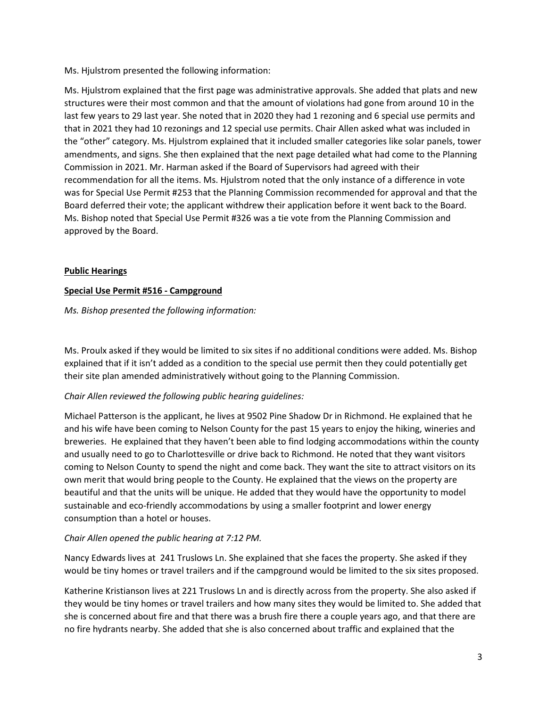Ms. Hjulstrom presented the following information:

Ms. Hjulstrom explained that the first page was administrative approvals. She added that plats and new structures were their most common and that the amount of violations had gone from around 10 in the last few years to 29 last year. She noted that in 2020 they had 1 rezoning and 6 special use permits and that in 2021 they had 10 rezonings and 12 special use permits. Chair Allen asked what was included in the "other" category. Ms. Hjulstrom explained that it included smaller categories like solar panels, tower amendments, and signs. She then explained that the next page detailed what had come to the Planning Commission in 2021. Mr. Harman asked if the Board of Supervisors had agreed with their recommendation for all the items. Ms. Hjulstrom noted that the only instance of a difference in vote was for Special Use Permit #253 that the Planning Commission recommended for approval and that the Board deferred their vote; the applicant withdrew their application before it went back to the Board. Ms. Bishop noted that Special Use Permit #326 was a tie vote from the Planning Commission and approved by the Board.

## **Public Hearings**

## **Special Use Permit #516 - Campground**

## *Ms. Bishop presented the following information:*

Ms. Proulx asked if they would be limited to six sites if no additional conditions were added. Ms. Bishop explained that if it isn't added as a condition to the special use permit then they could potentially get their site plan amended administratively without going to the Planning Commission.

# *Chair Allen reviewed the following public hearing guidelines:*

Michael Patterson is the applicant, he lives at 9502 Pine Shadow Dr in Richmond. He explained that he and his wife have been coming to Nelson County for the past 15 years to enjoy the hiking, wineries and breweries. He explained that they haven't been able to find lodging accommodations within the county and usually need to go to Charlottesville or drive back to Richmond. He noted that they want visitors coming to Nelson County to spend the night and come back. They want the site to attract visitors on its own merit that would bring people to the County. He explained that the views on the property are beautiful and that the units will be unique. He added that they would have the opportunity to model sustainable and eco-friendly accommodations by using a smaller footprint and lower energy consumption than a hotel or houses.

## *Chair Allen opened the public hearing at 7:12 PM.*

Nancy Edwards lives at 241 Truslows Ln. She explained that she faces the property. She asked if they would be tiny homes or travel trailers and if the campground would be limited to the six sites proposed.

Katherine Kristianson lives at 221 Truslows Ln and is directly across from the property. She also asked if they would be tiny homes or travel trailers and how many sites they would be limited to. She added that she is concerned about fire and that there was a brush fire there a couple years ago, and that there are no fire hydrants nearby. She added that she is also concerned about traffic and explained that the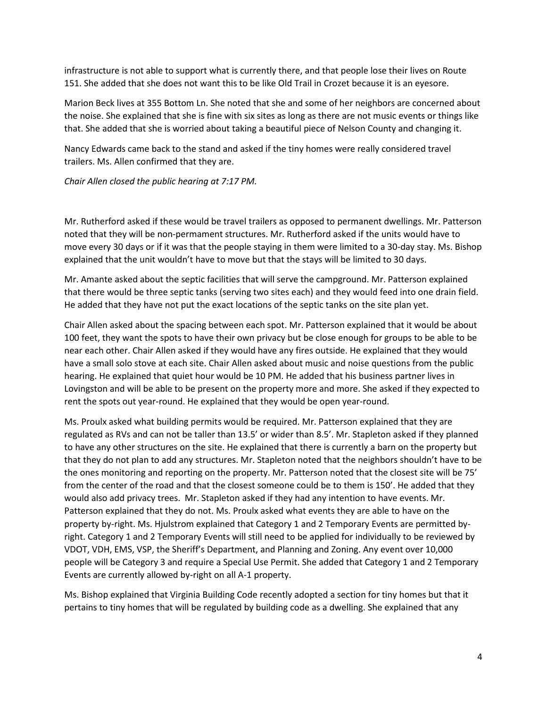infrastructure is not able to support what is currently there, and that people lose their lives on Route 151. She added that she does not want this to be like Old Trail in Crozet because it is an eyesore.

Marion Beck lives at 355 Bottom Ln. She noted that she and some of her neighbors are concerned about the noise. She explained that she is fine with six sites as long as there are not music events or things like that. She added that she is worried about taking a beautiful piece of Nelson County and changing it.

Nancy Edwards came back to the stand and asked if the tiny homes were really considered travel trailers. Ms. Allen confirmed that they are.

*Chair Allen closed the public hearing at 7:17 PM.* 

Mr. Rutherford asked if these would be travel trailers as opposed to permanent dwellings. Mr. Patterson noted that they will be non-permament structures. Mr. Rutherford asked if the units would have to move every 30 days or if it was that the people staying in them were limited to a 30-day stay. Ms. Bishop explained that the unit wouldn't have to move but that the stays will be limited to 30 days.

Mr. Amante asked about the septic facilities that will serve the campground. Mr. Patterson explained that there would be three septic tanks (serving two sites each) and they would feed into one drain field. He added that they have not put the exact locations of the septic tanks on the site plan yet.

Chair Allen asked about the spacing between each spot. Mr. Patterson explained that it would be about 100 feet, they want the spots to have their own privacy but be close enough for groups to be able to be near each other. Chair Allen asked if they would have any fires outside. He explained that they would have a small solo stove at each site. Chair Allen asked about music and noise questions from the public hearing. He explained that quiet hour would be 10 PM. He added that his business partner lives in Lovingston and will be able to be present on the property more and more. She asked if they expected to rent the spots out year-round. He explained that they would be open year-round.

Ms. Proulx asked what building permits would be required. Mr. Patterson explained that they are regulated as RVs and can not be taller than 13.5' or wider than 8.5'. Mr. Stapleton asked if they planned to have any other structures on the site. He explained that there is currently a barn on the property but that they do not plan to add any structures. Mr. Stapleton noted that the neighbors shouldn't have to be the ones monitoring and reporting on the property. Mr. Patterson noted that the closest site will be 75' from the center of the road and that the closest someone could be to them is 150'. He added that they would also add privacy trees. Mr. Stapleton asked if they had any intention to have events. Mr. Patterson explained that they do not. Ms. Proulx asked what events they are able to have on the property by-right. Ms. Hjulstrom explained that Category 1 and 2 Temporary Events are permitted byright. Category 1 and 2 Temporary Events will still need to be applied for individually to be reviewed by VDOT, VDH, EMS, VSP, the Sheriff's Department, and Planning and Zoning. Any event over 10,000 people will be Category 3 and require a Special Use Permit. She added that Category 1 and 2 Temporary Events are currently allowed by-right on all A-1 property.

Ms. Bishop explained that Virginia Building Code recently adopted a section for tiny homes but that it pertains to tiny homes that will be regulated by building code as a dwelling. She explained that any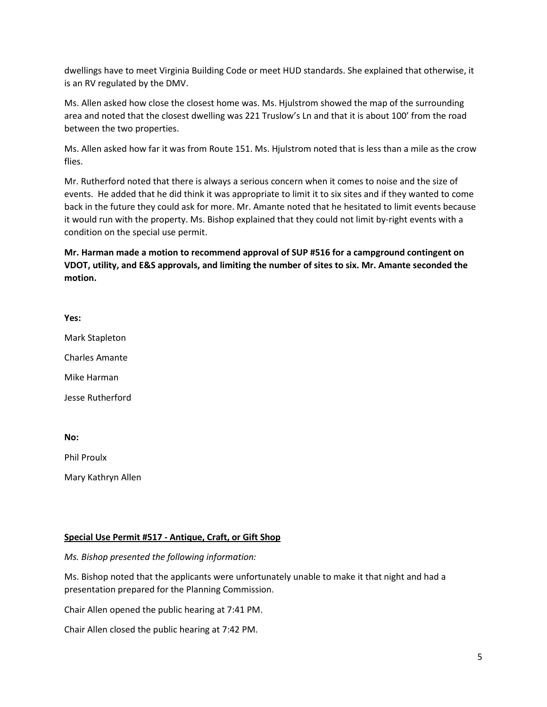dwellings have to meet Virginia Building Code or meet HUD standards. She explained that otherwise, it is an RV regulated by the DMV.

Ms. Allen asked how close the closest home was. Ms. Hjulstrom showed the map of the surrounding area and noted that the closest dwelling was 221 Truslow's Ln and that it is about 100' from the road between the two properties.

Ms. Allen asked how far it was from Route 151. Ms. Hjulstrom noted that is less than a mile as the crow flies.

Mr. Rutherford noted that there is always a serious concern when it comes to noise and the size of events. He added that he did think it was appropriate to limit it to six sites and if they wanted to come back in the future they could ask for more. Mr. Amante noted that he hesitated to limit events because it would run with the property. Ms. Bishop explained that they could not limit by-right events with a condition on the special use permit.

**Mr. Harman made a motion to recommend approval of SUP #516 for a campground contingent on VDOT, utility, and E&S approvals, and limiting the number of sites to six. Mr. Amante seconded the motion.**

**Yes:**

Mark Stapleton

Charles Amante

Mike Harman

Jesse Rutherford

**No:**

Phil Proulx

Mary Kathryn Allen

#### **Special Use Permit #517 - Antique, Craft, or Gift Shop**

*Ms. Bishop presented the following information:*

Ms. Bishop noted that the applicants were unfortunately unable to make it that night and had a presentation prepared for the Planning Commission.

Chair Allen opened the public hearing at 7:41 PM.

Chair Allen closed the public hearing at 7:42 PM.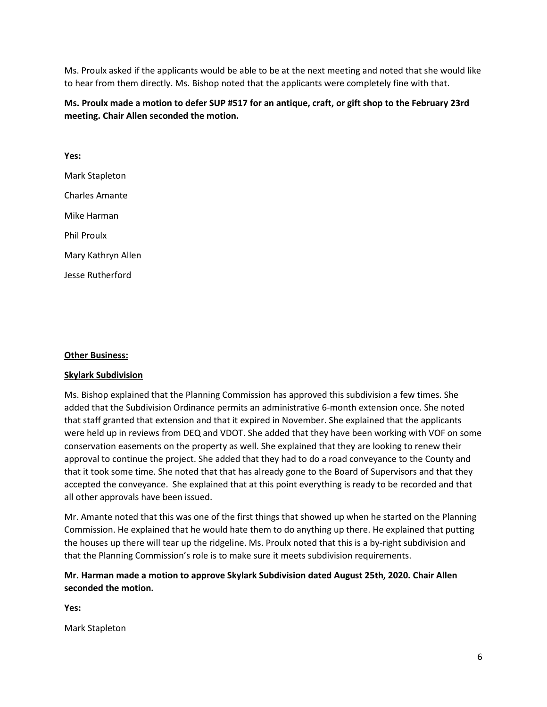Ms. Proulx asked if the applicants would be able to be at the next meeting and noted that she would like to hear from them directly. Ms. Bishop noted that the applicants were completely fine with that.

# **Ms. Proulx made a motion to defer SUP #517 for an antique, craft, or gift shop to the February 23rd meeting. Chair Allen seconded the motion.**

**Yes:** Mark Stapleton Charles Amante Mike Harman Phil Proulx Mary Kathryn Allen Jesse Rutherford

#### **Other Business:**

#### **Skylark Subdivision**

Ms. Bishop explained that the Planning Commission has approved this subdivision a few times. She added that the Subdivision Ordinance permits an administrative 6-month extension once. She noted that staff granted that extension and that it expired in November. She explained that the applicants were held up in reviews from DEQ and VDOT. She added that they have been working with VOF on some conservation easements on the property as well. She explained that they are looking to renew their approval to continue the project. She added that they had to do a road conveyance to the County and that it took some time. She noted that that has already gone to the Board of Supervisors and that they accepted the conveyance. She explained that at this point everything is ready to be recorded and that all other approvals have been issued.

Mr. Amante noted that this was one of the first things that showed up when he started on the Planning Commission. He explained that he would hate them to do anything up there. He explained that putting the houses up there will tear up the ridgeline. Ms. Proulx noted that this is a by-right subdivision and that the Planning Commission's role is to make sure it meets subdivision requirements.

# **Mr. Harman made a motion to approve Skylark Subdivision dated August 25th, 2020. Chair Allen seconded the motion.**

**Yes:**

Mark Stapleton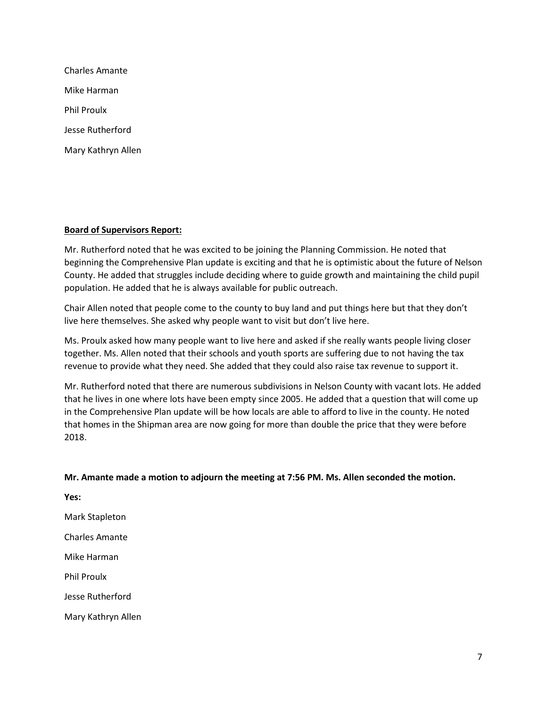| Charles Amante     |
|--------------------|
| Mike Harman        |
| <b>Phil Proulx</b> |
| Jesse Rutherford   |
| Mary Kathryn Allen |

#### **Board of Supervisors Report:**

Mr. Rutherford noted that he was excited to be joining the Planning Commission. He noted that beginning the Comprehensive Plan update is exciting and that he is optimistic about the future of Nelson County. He added that struggles include deciding where to guide growth and maintaining the child pupil population. He added that he is always available for public outreach.

Chair Allen noted that people come to the county to buy land and put things here but that they don't live here themselves. She asked why people want to visit but don't live here.

Ms. Proulx asked how many people want to live here and asked if she really wants people living closer together. Ms. Allen noted that their schools and youth sports are suffering due to not having the tax revenue to provide what they need. She added that they could also raise tax revenue to support it.

Mr. Rutherford noted that there are numerous subdivisions in Nelson County with vacant lots. He added that he lives in one where lots have been empty since 2005. He added that a question that will come up in the Comprehensive Plan update will be how locals are able to afford to live in the county. He noted that homes in the Shipman area are now going for more than double the price that they were before 2018.

## **Mr. Amante made a motion to adjourn the meeting at 7:56 PM. Ms. Allen seconded the motion.**

**Yes:** Mark Stapleton Charles Amante Mike Harman Phil Proulx Jesse Rutherford Mary Kathryn Allen